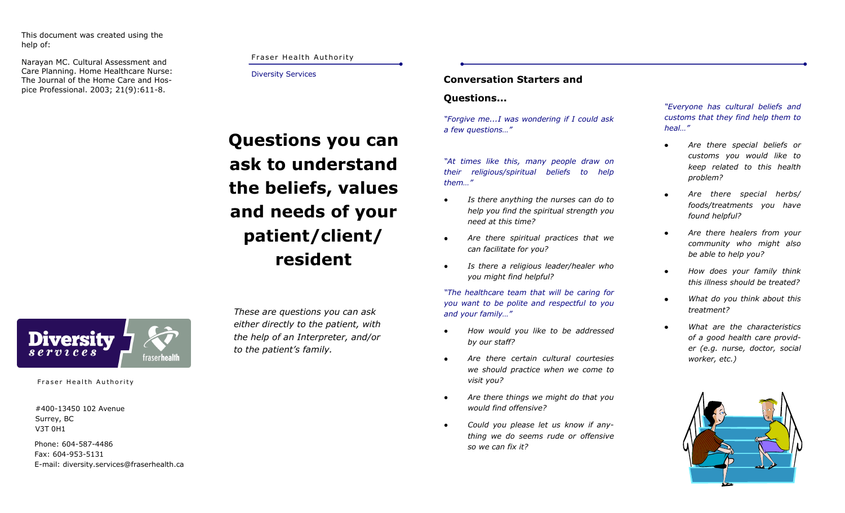This document was created using the help of:

Narayan MC. Cultural Assessment and Care Planning. Home Healthcare Nurse: The Journal of the Home Care and Hospice Professional. 2003; 21(9):611-8.

# Fraser Health Authority

#### Diversity Services

**Questions you can ask to understand the beliefs, values and needs of your patient/client/ resident**

*These are questions you can ask either directly to the patient, with the help of an Interpreter, and/or to the patient's family.* 

# **Conversation Starters and**

# **Questions...**

*"Forgive me...I was wondering if I could ask a few questions…"*

*"At times like this, many people draw on their religious/spiritual beliefs to help them…"*

- *Is there anything the nurses can do to*   $\bullet$ *help you find the spiritual strength you need at this time?*
- *Are there spiritual practices that we*   $\bullet$ *can facilitate for you?*
- $\bullet$ *Is there a religious leader/healer who you might find helpful?*

*"The healthcare team that will be caring for you want to be polite and respectful to you and your family…"*

- *How would you like to be addressed*   $\bullet$ *by our staff?*
- *Are there certain cultural courtesies*   $\bullet$ *we should practice when we come to visit you?*
- *Are there things we might do that you*   $\bullet$ *would find offensive?*
- *Could you please let us know if anything we do seems rude or offensive so we can fix it?*

*"Everyone has cultural beliefs and customs that they find help them to heal…"*

- *Are there special beliefs or customs you would like to keep related to this health problem?*
- *Are there special herbs/ foods/treatments you have found helpful?*
- *Are there healers from your community who might also be able to help you?*
- *How does your family think this illness should be treated?*
- *What do you think about this treatment?*
- *What are the characteristics of a good health care provider (e.g. nurse, doctor, social worker, etc.)*





Fraser Health Authority

#400-13450 102 Avenue Surrey, BC V3T 0H1

Phone: 604-587-4486 Fax: 604-953-5131 E-mail: diversity.services@fraserhealth.ca